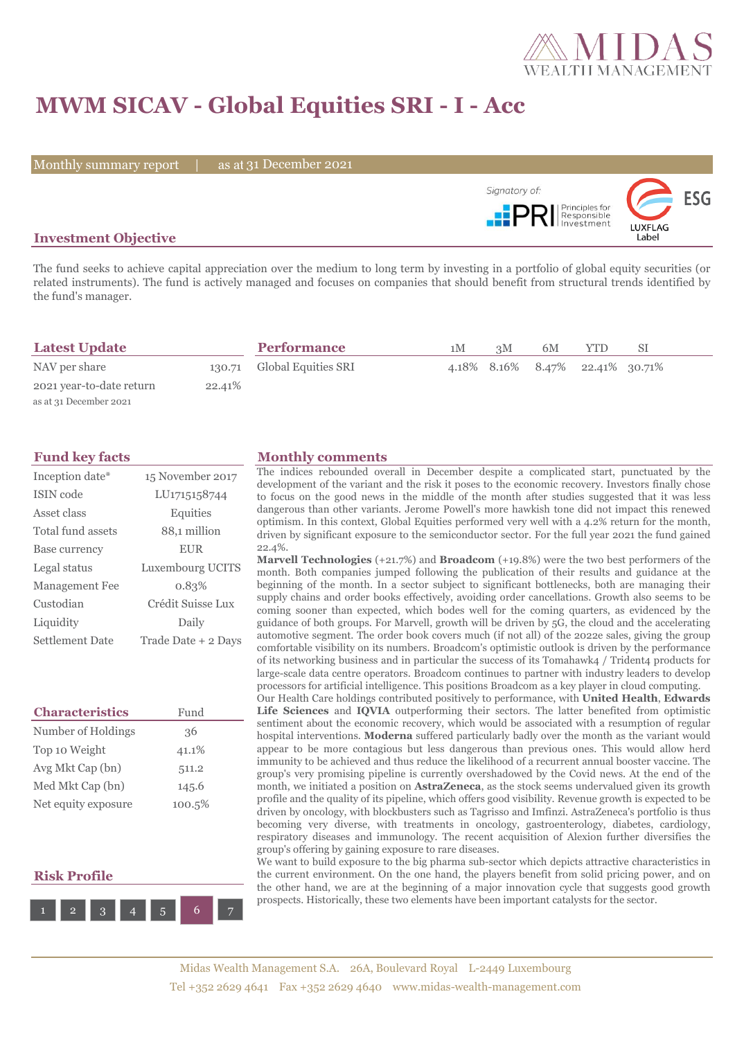

# **MWM SICAV - Global Equities SRI - I - Acc**

Monthly summary report | as at 31 December 2021



## **Investment Objective**

The fund seeks to achieve capital appreciation over the medium to long term by investing in a portfolio of global equity securities (or related instruments). The fund is actively managed and focuses on companies that should benefit from structural trends identified by the fund's manager.

| <b>Latest Update</b>     |         | <b>Performance</b>         | 1M | 3M | 6M | YTD                             |  |
|--------------------------|---------|----------------------------|----|----|----|---------------------------------|--|
| NAV per share            |         | 130.71 Global Equities SRI |    |    |    | 4.18% 8.16% 8.47% 22.41% 30.71% |  |
| 2021 year-to-date return | 22.41\% |                            |    |    |    |                                 |  |
| as at 31 December 2021   |         |                            |    |    |    |                                 |  |

| Inception date*        | 15 November 2017    |
|------------------------|---------------------|
| ISIN code              | LU1715158744        |
| Asset class            | Equities            |
| Total fund assets      | 88,1 million        |
| Base currency          | <b>EUR</b>          |
| Legal status           | Luxembourg UCITS    |
| Management Fee         | 0.83%               |
| Custodian              | Crédit Suisse Lux   |
| Liquidity              | Daily               |
| <b>Settlement Date</b> | Trade Date + 2 Days |

| <b>Characteristics</b> | Fund   |
|------------------------|--------|
| Number of Holdings     | 36     |
| Top 10 Weight          | 41.1%  |
| Avg Mkt Cap (bn)       | 511.2  |
| Med Mkt Cap (bn)       | 145.6  |
| Net equity exposure    | 100.5% |

## **Risk Profile**



#### **Fund key facts Monthly comments**

The indices rebounded overall in December despite a complicated start, punctuated by the development of the variant and the risk it poses to the economic recovery. Investors finally chose to focus on the good news in the middle of the month after studies suggested that it was less dangerous than other variants. Jerome Powell's more hawkish tone did not impact this renewed optimism. In this context, Global Equities performed very well with a 4.2% return for the month, driven by significant exposure to the semiconductor sector. For the full year 2021 the fund gained 22.4%.

**Marvell Technologies** (+21.7%) and **Broadcom** (+19.8%) were the two best performers of the month. Both companies jumped following the publication of their results and guidance at the beginning of the month. In a sector subject to significant bottlenecks, both are managing their supply chains and order books effectively, avoiding order cancellations. Growth also seems to be coming sooner than expected, which bodes well for the coming quarters, as evidenced by the guidance of both groups. For Marvell, growth will be driven by 5G, the cloud and the accelerating automotive segment. The order book covers much (if not all) of the 2022e sales, giving the group comfortable visibility on its numbers. Broadcom's optimistic outlook is driven by the performance of its networking business and in particular the success of its Tomahawk4 / Trident4 products for large-scale data centre operators. Broadcom continues to partner with industry leaders to develop processors for artificial intelligence. This positions Broadcom as a key player in cloud computing.

Our Health Care holdings contributed positively to performance, with **United Health**, **Edwards Life Sciences** and **IQVIA** outperforming their sectors. The latter benefited from optimistic sentiment about the economic recovery, which would be associated with a resumption of regular hospital interventions. **Moderna** suffered particularly badly over the month as the variant would appear to be more contagious but less dangerous than previous ones. This would allow herd immunity to be achieved and thus reduce the likelihood of a recurrent annual booster vaccine. The group's very promising pipeline is currently overshadowed by the Covid news. At the end of the month, we initiated a position on **AstraZeneca**, as the stock seems undervalued given its growth profile and the quality of its pipeline, which offers good visibility. Revenue growth is expected to be driven by oncology, with blockbusters such as Tagrisso and Imfinzi. AstraZeneca's portfolio is thus becoming very diverse, with treatments in oncology, gastroenterology, diabetes, cardiology, respiratory diseases and immunology. The recent acquisition of Alexion further diversifies the group's offering by gaining exposure to rare diseases.

We want to build exposure to the big pharma sub-sector which depicts attractive characteristics in the current environment. On the one hand, the players benefit from solid pricing power, and on the other hand, we are at the beginning of a major innovation cycle that suggests good growth prospects. Historically, these two elements have been important catalysts for the sector.